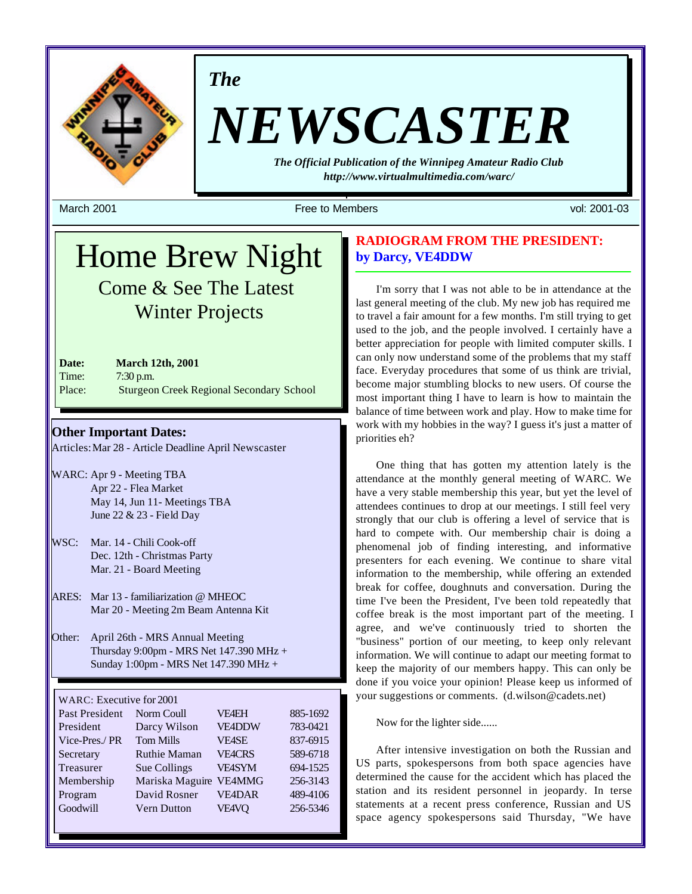

*The*

# *NEWSCASTER*

*The Official Publication of the Winnipeg Amateur Radio Club http://www.virtualmultimedia.com/warc/*

March 2001 Free to Members vol: 2001-03

# Home Brew Night Come & See The Latest Winter Projects

| Date:  | <b>March 12th, 2001</b>                         |
|--------|-------------------------------------------------|
| Time:  | $7:30$ p.m.                                     |
| Place: | <b>Sturgeon Creek Regional Secondary School</b> |

**Other Important Dates:** Articles: Mar 28 - Article Deadline April Newscaster

- WARC: Apr 9 Meeting TBA Apr 22 - Flea Market May 14, Jun 11- Meetings TBA June 22 & 23 - Field Day
- WSC: Mar. 14 Chili Cook-off Dec. 12th - Christmas Party Mar. 21 - Board Meeting
- ARES: Mar 13 familiarization @ MHEOC Mar 20 - Meeting 2m Beam Antenna Kit
- Other: April 26th MRS Annual Meeting Thursday 9:00pm - MRS Net 147.390 MHz + Sunday 1:00pm - MRS Net 147.390 MHz +

WARC: Executive for 2001

| Past President | Norm Coull          | <b>VF4EH</b>  | 885-1692 |
|----------------|---------------------|---------------|----------|
| President      | Darcy Wilson        | <b>VE4DDW</b> | 783-0421 |
| Vice-Pres./PR  | <b>Tom Mills</b>    | <b>VE4SE</b>  | 837-6915 |
| Secretary      | <b>Ruthie Maman</b> | <b>VE4CRS</b> | 589-6718 |
| Treasurer      | Sue Collings        | VE4SYM        | 694-1525 |
| Membership     | Mariska Maguire     | <b>VE4MMG</b> | 256-3143 |
|                |                     |               |          |
| Program        | David Rosner        | <b>VE4DAR</b> | 489-4106 |
| Goodwill       | <b>Vern Dutton</b>  | <b>VE4VQ</b>  | 256-5346 |
|                |                     |               |          |

# **RADIOGRAM FROM THE PRESIDENT: by Darcy, VE4DDW**

I'm sorry that I was not able to be in attendance at the last general meeting of the club. My new job has required me to travel a fair amount for a few months. I'm still trying to get used to the job, and the people involved. I certainly have a better appreciation for people with limited computer skills. I can only now understand some of the problems that my staff face. Everyday procedures that some of us think are trivial, become major stumbling blocks to new users. Of course the most important thing I have to learn is how to maintain the balance of time between work and play. How to make time for work with my hobbies in the way? I guess it's just a matter of priorities eh?

One thing that has gotten my attention lately is the attendance at the monthly general meeting of WARC. We have a very stable membership this year, but yet the level of attendees continues to drop at our meetings. I still feel very strongly that our club is offering a level of service that is hard to compete with. Our membership chair is doing a phenomenal job of finding interesting, and informative presenters for each evening. We continue to share vital information to the membership, while offering an extended break for coffee, doughnuts and conversation. During the time I've been the President, I've been told repeatedly that coffee break is the most important part of the meeting. I agree, and we've continuously tried to shorten the "business" portion of our meeting, to keep only relevant information. We will continue to adapt our meeting format to keep the majority of our members happy. This can only be done if you voice your opinion! Please keep us informed of your suggestions or comments. (d.wilson@cadets.net)

Now for the lighter side......

After intensive investigation on both the Russian and US parts, spokespersons from both space agencies have determined the cause for the accident which has placed the station and its resident personnel in jeopardy. In terse statements at a recent press conference, Russian and US space agency spokespersons said Thursday, "We have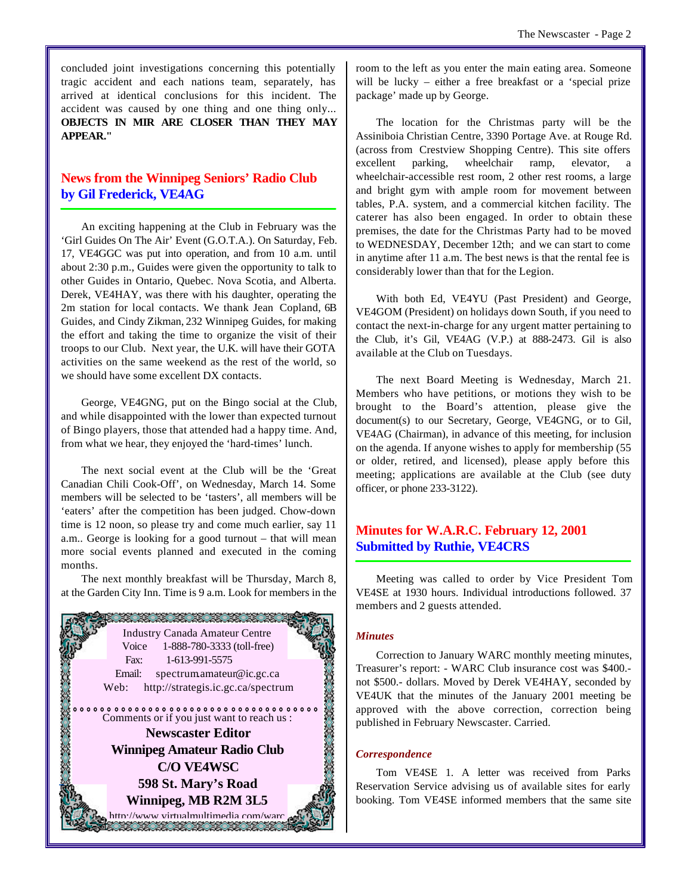concluded joint investigations concerning this potentially tragic accident and each nations team, separately, has arrived at identical conclusions for this incident. The accident was caused by one thing and one thing only... **OBJECTS IN MIR ARE CLOSER THAN THEY MAY APPEAR."**

# **News from the Winnipeg Seniors' Radio Club by Gil Frederick, VE4AG**

An exciting happening at the Club in February was the 'Girl Guides On The Air' Event (G.O.T.A.). On Saturday, Feb. 17, VE4GGC was put into operation, and from 10 a.m. until about 2:30 p.m., Guides were given the opportunity to talk to other Guides in Ontario, Quebec. Nova Scotia, and Alberta. Derek, VE4HAY, was there with his daughter, operating the 2m station for local contacts. We thank Jean Copland, 6B Guides, and Cindy Zikman, 232 Winnipeg Guides, for making the effort and taking the time to organize the visit of their troops to our Club. Next year, the U.K. will have their GOTA activities on the same weekend as the rest of the world, so we should have some excellent DX contacts.

George, VE4GNG, put on the Bingo social at the Club, and while disappointed with the lower than expected turnout of Bingo players, those that attended had a happy time. And, from what we hear, they enjoyed the 'hard-times' lunch.

The next social event at the Club will be the 'Great Canadian Chili Cook-Off', on Wednesday, March 14. Some members will be selected to be 'tasters', all members will be 'eaters' after the competition has been judged. Chow-down time is 12 noon, so please try and come much earlier, say 11 a.m.. George is looking for a good turnout – that will mean more social events planned and executed in the coming months.

The next monthly breakfast will be Thursday, March 8, at the Garden City Inn. Time is 9 a.m. Look for members in the



room to the left as you enter the main eating area. Someone will be lucky – either a free breakfast or a 'special prize package' made up by George.

The location for the Christmas party will be the Assiniboia Christian Centre, 3390 Portage Ave. at Rouge Rd. (across from Crestview Shopping Centre). This site offers excellent parking, wheelchair ramp, elevator, wheelchair-accessible rest room, 2 other rest rooms, a large and bright gym with ample room for movement between tables, P.A. system, and a commercial kitchen facility. The caterer has also been engaged. In order to obtain these premises, the date for the Christmas Party had to be moved to WEDNESDAY, December 12th; and we can start to come in anytime after 11 a.m. The best news is that the rental fee is considerably lower than that for the Legion.

With both Ed, VE4YU (Past President) and George, VE4GOM (President) on holidays down South, if you need to contact the next-in-charge for any urgent matter pertaining to the Club, it's Gil, VE4AG (V.P.) at 888-2473. Gil is also available at the Club on Tuesdays.

The next Board Meeting is Wednesday, March 21. Members who have petitions, or motions they wish to be brought to the Board's attention, please give the document(s) to our Secretary, George, VE4GNG, or to Gil, VE4AG (Chairman), in advance of this meeting, for inclusion on the agenda. If anyone wishes to apply for membership (55 or older, retired, and licensed), please apply before this meeting; applications are available at the Club (see duty officer, or phone 233-3122).

# **Minutes for W.A.R.C. February 12, 2001 Submitted by Ruthie, VE4CRS**

Meeting was called to order by Vice President Tom VE4SE at 1930 hours. Individual introductions followed. 37 members and 2 guests attended.

#### *Minutes*

Correction to January WARC monthly meeting minutes, Treasurer's report: - WARC Club insurance cost was \$400. not \$500.- dollars. Moved by Derek VE4HAY, seconded by VE4UK that the minutes of the January 2001 meeting be approved with the above correction, correction being published in February Newscaster. Carried.

#### *Correspondence*

Tom VE4SE 1. A letter was received from Parks Reservation Service advising us of available sites for early booking. Tom VE4SE informed members that the same site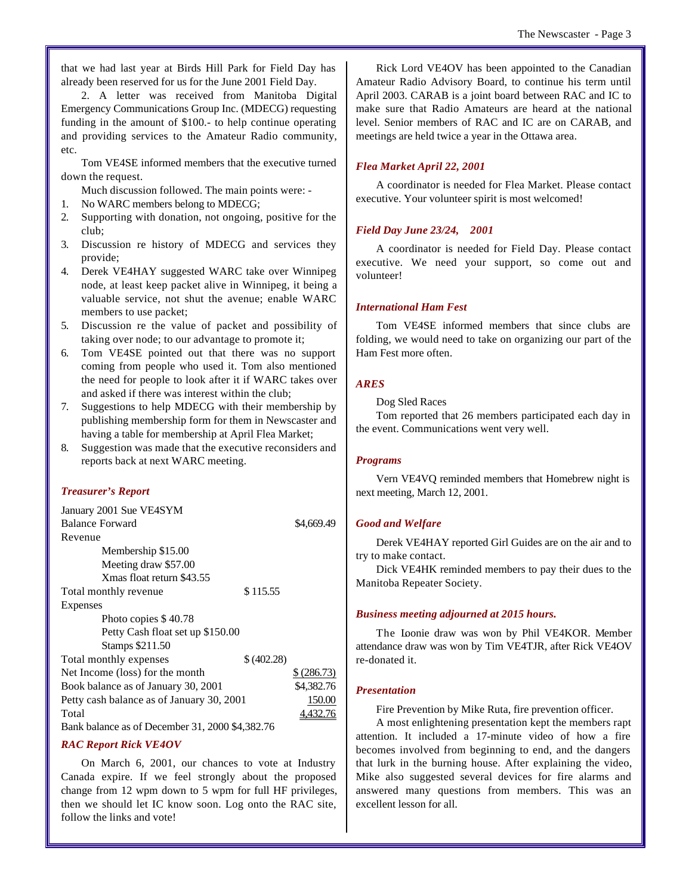that we had last year at Birds Hill Park for Field Day has already been reserved for us for the June 2001 Field Day.

2. A letter was received from Manitoba Digital Emergency Communications Group Inc. (MDECG) requesting funding in the amount of \$100.- to help continue operating and providing services to the Amateur Radio community, etc.

Tom VE4SE informed members that the executive turned down the request.

Much discussion followed. The main points were: -

- 1. No WARC members belong to MDECG;
- 2. Supporting with donation, not ongoing, positive for the club;
- 3. Discussion re history of MDECG and services they provide;
- 4. Derek VE4HAY suggested WARC take over Winnipeg node, at least keep packet alive in Winnipeg, it being a valuable service, not shut the avenue; enable WARC members to use packet;
- 5. Discussion re the value of packet and possibility of taking over node; to our advantage to promote it;
- 6. Tom VE4SE pointed out that there was no support coming from people who used it. Tom also mentioned the need for people to look after it if WARC takes over and asked if there was interest within the club;
- 7. Suggestions to help MDECG with their membership by publishing membership form for them in Newscaster and having a table for membership at April Flea Market;
- 8. Suggestion was made that the executive reconsiders and reports back at next WARC meeting.

#### *Treasurer's Report*

| January 2001 Sue VE4SYM                   |            |             |
|-------------------------------------------|------------|-------------|
| <b>Balance Forward</b>                    |            | \$4,669.49  |
| Revenue                                   |            |             |
| Membership \$15.00                        |            |             |
| Meeting draw \$57.00                      |            |             |
| Xmas float return \$43.55                 |            |             |
| Total monthly revenue                     | \$115.55   |             |
| <b>Expenses</b>                           |            |             |
| Photo copies \$40.78                      |            |             |
| Petty Cash float set up \$150.00          |            |             |
| Stamps \$211.50                           |            |             |
| Total monthly expenses                    | \$(402.28) |             |
| Net Income (loss) for the month           |            | \$ (286.73) |
| Book balance as of January 30, 2001       |            | \$4,382.76  |
| Petty cash balance as of January 30, 2001 |            | 150.00      |
| Total                                     |            |             |
| $\mathbf{I}$<br>21.200000100              |            |             |

Bank balance as of December 31, 2000 \$4,382.76

#### *RAC Report Rick VE4OV*

On March 6, 2001, our chances to vote at Industry Canada expire. If we feel strongly about the proposed change from 12 wpm down to 5 wpm for full HF privileges, then we should let IC know soon. Log onto the RAC site, follow the links and vote!

Rick Lord VE4OV has been appointed to the Canadian Amateur Radio Advisory Board, to continue his term until April 2003. CARAB is a joint board between RAC and IC to make sure that Radio Amateurs are heard at the national level. Senior members of RAC and IC are on CARAB, and meetings are held twice a year in the Ottawa area.

#### *Flea Market April 22, 2001*

A coordinator is needed for Flea Market. Please contact executive. Your volunteer spirit is most welcomed!

#### *Field Day June 23/24, 2001*

A coordinator is needed for Field Day. Please contact executive. We need your support, so come out and volunteer!

#### *International Ham Fest*

Tom VE4SE informed members that since clubs are folding, we would need to take on organizing our part of the Ham Fest more often.

#### *ARES*

Dog Sled Races

Tom reported that 26 members participated each day in the event. Communications went very well.

#### *Programs*

Vern VE4VQ reminded members that Homebrew night is next meeting, March 12, 2001.

#### *Good and Welfare*

Derek VE4HAY reported Girl Guides are on the air and to try to make contact.

Dick VE4HK reminded members to pay their dues to the Manitoba Repeater Society.

#### *Business meeting adjourned at 2015 hours.*

The Loonie draw was won by Phil VE4KOR. Member attendance draw was won by Tim VE4TJR, after Rick VE4OV re-donated it.

#### *Presentation*

Fire Prevention by Mike Ruta, fire prevention officer.

A most enlightening presentation kept the members rapt attention. It included a 17-minute video of how a fire becomes involved from beginning to end, and the dangers that lurk in the burning house. After explaining the video, Mike also suggested several devices for fire alarms and answered many questions from members. This was an excellent lesson for all.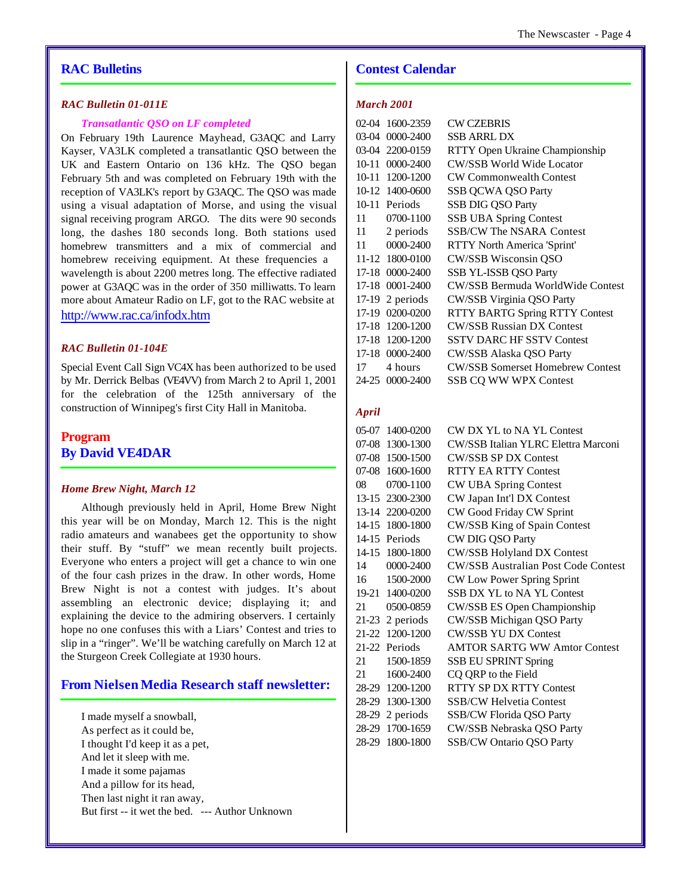# **RAC Bulletins**

### *RAC Bulletin 01-011E*

#### *Transatlantic QSO on LF completed*

On February 19th Laurence Mayhead, G3AQC and Larry Kayser, VA3LK completed a transatlantic QSO between the UK and Eastern Ontario on 136 kHz. The QSO began February 5th and was completed on February 19th with the reception of VA3LK's report by G3AQC. The QSO was made using a visual adaptation of Morse, and using the visual signal receiving program ARGO. The dits were 90 seconds long, the dashes 180 seconds long. Both stations used homebrew transmitters and a mix of commercial and homebrew receiving equipment. At these frequencies a wavelength is about 2200 metres long. The effective radiated power at G3AQC was in the order of 350 milliwatts. To learn more about Amateur Radio on LF, got to the RAC website at http://www.rac.ca/infodx.htm

#### *RAC Bulletin 01-104E*

Special Event Call Sign VC4X has been authorized to be used by Mr. Derrick Belbas (VE4VV) from March 2 to April 1, 2001 for the celebration of the 125th anniversary of the construction of Winnipeg's first City Hall in Manitoba.

# **Program By David VE4DAR**

#### *Home Brew Night, March 12*

Although previously held in April, Home Brew Night this year will be on Monday, March 12. This is the night radio amateurs and wanabees get the opportunity to show their stuff. By "stuff" we mean recently built projects. Everyone who enters a project will get a chance to win one of the four cash prizes in the draw. In other words, Home Brew Night is not a contest with judges. It's about assembling an electronic device; displaying it; and explaining the device to the admiring observers. I certainly hope no one confuses this with a Liars' Contest and tries to slip in a "ringer". We'll be watching carefully on March 12 at the Sturgeon Creek Collegiate at 1930 hours.

#### **From Nielsen Media Research staff newsletter:**

I made myself a snowball, As perfect as it could be, I thought I'd keep it as a pet, And let it sleep with me. I made it some pajamas And a pillow for its head, Then last night it ran away, But first -- it wet the bed. --- Author Unknown

# **Contest Calendar**

# *March 2001*

| $02-04$   | 1600-2359       | CW CZEBRIS                              |
|-----------|-----------------|-----------------------------------------|
| 03-04     | 0000-2400       | SSB ARRL DX                             |
|           | 03-04 2200-0159 | RTTY Open Ukraine Championship          |
| $10 - 11$ | 0000-2400       | <b>CW/SSB World Wide Locator</b>        |
|           | 10-11 1200-1200 | <b>CW Commonwealth Contest</b>          |
|           | 10-12 1400-0600 | SSB QCWA QSO Party                      |
|           | 10-11 Periods   | <b>SSB DIG QSO Party</b>                |
| 11        | 0700-1100       | <b>SSB UBA Spring Contest</b>           |
| 11 —      | 2 periods       | <b>SSB/CW The NSARA Contest</b>         |
| 11        | 0000-2400       | RTTY North America 'Sprint'             |
|           | 11-12 1800-0100 | CW/SSB Wisconsin QSO                    |
|           | 17-18 0000-2400 | SSB YL-ISSB QSO Party                   |
| 17-18     | 0001-2400       | <b>CW/SSB Bermuda WorldWide Contest</b> |
| 17-19     | 2 periods       | CW/SSB Virginia QSO Party               |
|           | 17-19 0200-0200 | <b>RTTY BARTG Spring RTTY Contest</b>   |
|           | 17-18 1200-1200 | <b>CW/SSB Russian DX Contest</b>        |
|           | 17-18 1200-1200 | <b>SSTV DARC HF SSTV Contest</b>        |
|           | 17-18 0000-2400 | CW/SSB Alaska QSO Party                 |
| 17        | 4 hours         | <b>CW/SSB Somerset Homebrew Contest</b> |
|           | 24-25 0000-2400 | <b>SSB CQ WW WPX Contest</b>            |
|           |                 |                                         |

#### *April*

| 05-07 | 1400-0200         | CW DX YL to NA YL Contest                  |
|-------|-------------------|--------------------------------------------|
| 07-08 | 1300-1300         | CW/SSB Italian YLRC Elettra Marconi        |
|       | 07-08 1500-1500   | <b>CW/SSB SP DX Contest</b>                |
|       | 07-08 1600-1600   | <b>RTTY EA RTTY Contest</b>                |
| 08    | 0700-1100         | <b>CW UBA Spring Contest</b>               |
|       | 13-15 2300-2300   | CW Japan Int'l DX Contest                  |
|       | 13-14 2200-0200   | CW Good Friday CW Sprint                   |
|       | 14-15 1800-1800   | CW/SSB King of Spain Contest               |
|       | 14-15 Periods     | CW DIG QSO Party                           |
|       | 14-15 1800-1800   | <b>CW/SSB Holyland DX Contest</b>          |
| 14    | 0000-2400         | <b>CW/SSB Australian Post Code Contest</b> |
| 16    | 1500-2000         | CW Low Power Spring Sprint                 |
|       | 19-21 1400-0200   | SSB DX YL to NA YL Contest                 |
| 21    | 0500-0859         | CW/SSB ES Open Championship                |
|       | $21-23$ 2 periods | CW/SSB Michigan QSO Party                  |
| 21-22 | 1200-1200         | <b>CW/SSB YU DX Contest</b>                |
|       | 21-22 Periods     | <b>AMTOR SARTG WW Amtor Contest</b>        |
| 21    | 1500-1859         | <b>SSB EU SPRINT Spring</b>                |
| 21    | 1600-2400         | CQ QRP to the Field                        |
|       | 28-29 1200-1200   | RTTY SP DX RTTY Contest                    |
|       | 28-29 1300-1300   | <b>SSB/CW Helvetia Contest</b>             |
|       | $28-29$ 2 periods | SSB/CW Florida QSO Party                   |
|       | 28-29 1700-1659   | CW/SSB Nebraska QSO Party                  |
| 28-29 | 1800-1800         | <b>SSB/CW Ontario QSO Party</b>            |
|       |                   |                                            |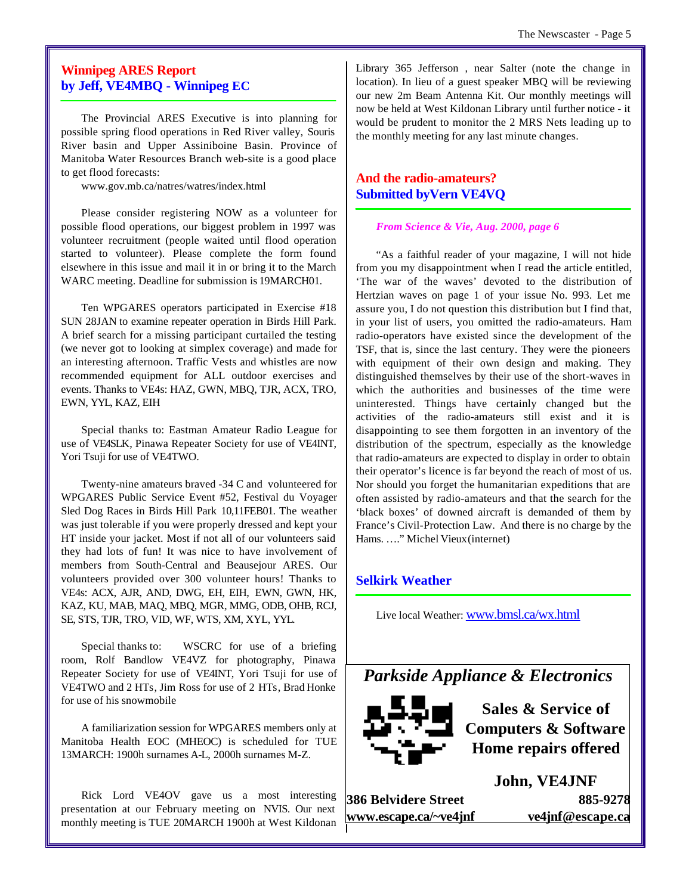# **Winnipeg ARES Report by Jeff, VE4MBQ - Winnipeg EC**

The Provincial ARES Executive is into planning for possible spring flood operations in Red River valley, Souris River basin and Upper Assiniboine Basin. Province of Manitoba Water Resources Branch web-site is a good place to get flood forecasts:

www.gov.mb.ca/natres/watres/index.html

Please consider registering NOW as a volunteer for possible flood operations, our biggest problem in 1997 was volunteer recruitment (people waited until flood operation started to volunteer). Please complete the form found elsewhere in this issue and mail it in or bring it to the March WARC meeting. Deadline for submission is 19MARCH01.

Ten WPGARES operators participated in Exercise #18 SUN 28JAN to examine repeater operation in Birds Hill Park. A brief search for a missing participant curtailed the testing (we never got to looking at simplex coverage) and made for an interesting afternoon. Traffic Vests and whistles are now recommended equipment for ALL outdoor exercises and events. Thanks to VE4s: HAZ, GWN, MBQ, TJR, ACX, TRO, EWN, YYL, KAZ, EIH

Special thanks to: Eastman Amateur Radio League for use of VE4SLK, Pinawa Repeater Society for use of VE4INT, Yori Tsuji for use of VE4TWO.

Twenty-nine amateurs braved -34 C and volunteered for WPGARES Public Service Event #52, Festival du Voyager Sled Dog Races in Birds Hill Park 10,11FEB01. The weather was just tolerable if you were properly dressed and kept your HT inside your jacket. Most if not all of our volunteers said they had lots of fun! It was nice to have involvement of members from South-Central and Beausejour ARES. Our volunteers provided over 300 volunteer hours! Thanks to VE4s: ACX, AJR, AND, DWG, EH, EIH, EWN, GWN, HK, KAZ, KU, MAB, MAQ, MBQ, MGR, MMG, ODB, OHB, RCJ, SE, STS, TJR, TRO, VID, WF, WTS, XM, XYL, YYL.

Special thanks to: WSCRC for use of a briefing room, Rolf Bandlow VE4VZ for photography, Pinawa Repeater Society for use of VE4INT, Yori Tsuji for use of VE4TWO and 2 HTs, Jim Ross for use of 2 HTs, Brad Honke for use of his snowmobile

A familiarization session for WPGARES members only at Manitoba Health EOC (MHEOC) is scheduled for TUE 13MARCH: 1900h surnames A-L, 2000h surnames M-Z.

Rick Lord VE4OV gave us a most interesting presentation at our February meeting on NVIS. Our next monthly meeting is TUE 20MARCH 1900h at West Kildonan Library 365 Jefferson , near Salter (note the change in location). In lieu of a guest speaker MBQ will be reviewing our new 2m Beam Antenna Kit. Our monthly meetings will now be held at West Kildonan Library until further notice - it would be prudent to monitor the 2 MRS Nets leading up to the monthly meeting for any last minute changes.

# **And the radio-amateurs? Submitted byVern VE4VQ**

#### *From Science & Vie, Aug. 2000, page 6*

"As a faithful reader of your magazine, I will not hide from you my disappointment when I read the article entitled, 'The war of the waves' devoted to the distribution of Hertzian waves on page 1 of your issue No. 993. Let me assure you, I do not question this distribution but I find that, in your list of users, you omitted the radio-amateurs. Ham radio-operators have existed since the development of the TSF, that is, since the last century. They were the pioneers with equipment of their own design and making. They distinguished themselves by their use of the short-waves in which the authorities and businesses of the time were uninterested. Things have certainly changed but the activities of the radio-amateurs still exist and it is disappointing to see them forgotten in an inventory of the distribution of the spectrum, especially as the knowledge that radio-amateurs are expected to display in order to obtain their operator's licence is far beyond the reach of most of us. Nor should you forget the humanitarian expeditions that are often assisted by radio-amateurs and that the search for the 'black boxes' of downed aircraft is demanded of them by France's Civil-Protection Law. And there is no charge by the Hams. …." Michel Vieux (internet)

## **Selkirk Weather**

Live local Weather: www.bmsl.ca/wx.html

# *Parkside Appliance & Electronics*



**Sales & Service of Computers & Software Home repairs offered**

**386 Belvidere Street 885-9278 www.escape.ca/~ve4jnf ve4jnf@escape.ca**

**John, VE4JNF**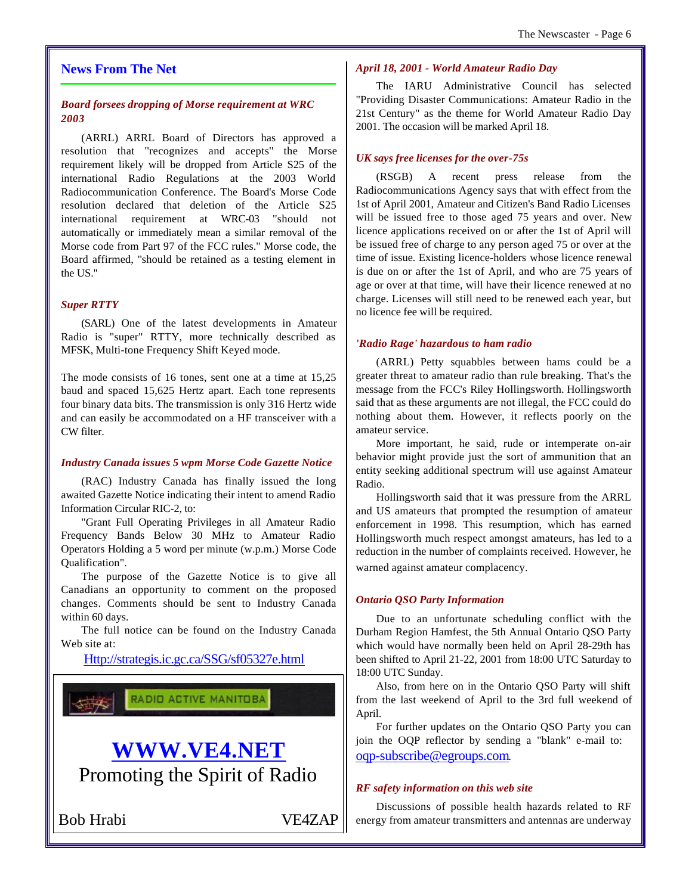## **News From The Net**

# *Board forsees dropping of Morse requirement at WRC 2003*

(ARRL) ARRL Board of Directors has approved a resolution that ''recognizes and accepts'' the Morse requirement likely will be dropped from Article S25 of the international Radio Regulations at the 2003 World Radiocommunication Conference. The Board's Morse Code resolution declared that deletion of the Article S25 international requirement at WRC-03 ''should not automatically or immediately mean a similar removal of the Morse code from Part 97 of the FCC rules.'' Morse code, the Board affirmed, ''should be retained as a testing element in the US.''

## *Super RTTY*

(SARL) One of the latest developments in Amateur Radio is "super" RTTY, more technically described as MFSK, Multi-tone Frequency Shift Keyed mode.

The mode consists of 16 tones, sent one at a time at 15,25 baud and spaced 15,625 Hertz apart. Each tone represents four binary data bits. The transmission is only 316 Hertz wide and can easily be accommodated on a HF transceiver with a CW filter.

#### *Industry Canada issues 5 wpm Morse Code Gazette Notice*

(RAC) Industry Canada has finally issued the long awaited Gazette Notice indicating their intent to amend Radio Information Circular RIC-2, to:

"Grant Full Operating Privileges in all Amateur Radio Frequency Bands Below 30 MHz to Amateur Radio Operators Holding a 5 word per minute (w.p.m.) Morse Code Qualification".

The purpose of the Gazette Notice is to give all Canadians an opportunity to comment on the proposed changes. Comments should be sent to Industry Canada within 60 days.

The full notice can be found on the Industry Canada Web site at:

Http://strategis.ic.gc.ca/SSG/sf05327e.html



# **WWW.VE4.NET** Promoting the Spirit of Radio

Bob Hrabi VE4ZAP

#### *April 18, 2001 - World Amateur Radio Day*

The IARU Administrative Council has selected "Providing Disaster Communications: Amateur Radio in the 21st Century" as the theme for World Amateur Radio Day 2001. The occasion will be marked April 18.

#### *UK says free licenses for the over-75s*

(RSGB) A recent press release from the Radiocommunications Agency says that with effect from the 1st of April 2001, Amateur and Citizen's Band Radio Licenses will be issued free to those aged 75 years and over. New licence applications received on or after the 1st of April will be issued free of charge to any person aged 75 or over at the time of issue. Existing licence-holders whose licence renewal is due on or after the 1st of April, and who are 75 years of age or over at that time, will have their licence renewed at no charge. Licenses will still need to be renewed each year, but no licence fee will be required.

#### *'Radio Rage' hazardous to ham radio*

(ARRL) Petty squabbles between hams could be a greater threat to amateur radio than rule breaking. That's the message from the FCC's Riley Hollingsworth. Hollingsworth said that as these arguments are not illegal, the FCC could do nothing about them. However, it reflects poorly on the amateur service.

More important, he said, rude or intemperate on-air behavior might provide just the sort of ammunition that an entity seeking additional spectrum will use against Amateur Radio.

Hollingsworth said that it was pressure from the ARRL and US amateurs that prompted the resumption of amateur enforcement in 1998. This resumption, which has earned Hollingsworth much respect amongst amateurs, has led to a reduction in the number of complaints received. However, he warned against amateur complacency.

#### *Ontario QSO Party Information*

Due to an unfortunate scheduling conflict with the Durham Region Hamfest, the 5th Annual Ontario QSO Party which would have normally been held on April 28-29th has been shifted to April 21-22, 2001 from 18:00 UTC Saturday to 18:00 UTC Sunday.

Also, from here on in the Ontario QSO Party will shift from the last weekend of April to the 3rd full weekend of April.

For further updates on the Ontario QSO Party you can join the OQP reflector by sending a "blank" e-mail to: oqp-subscribe@egroups.com.

#### *RF safety information on this web site*

Discussions of possible health hazards related to RF energy from amateur transmitters and antennas are underway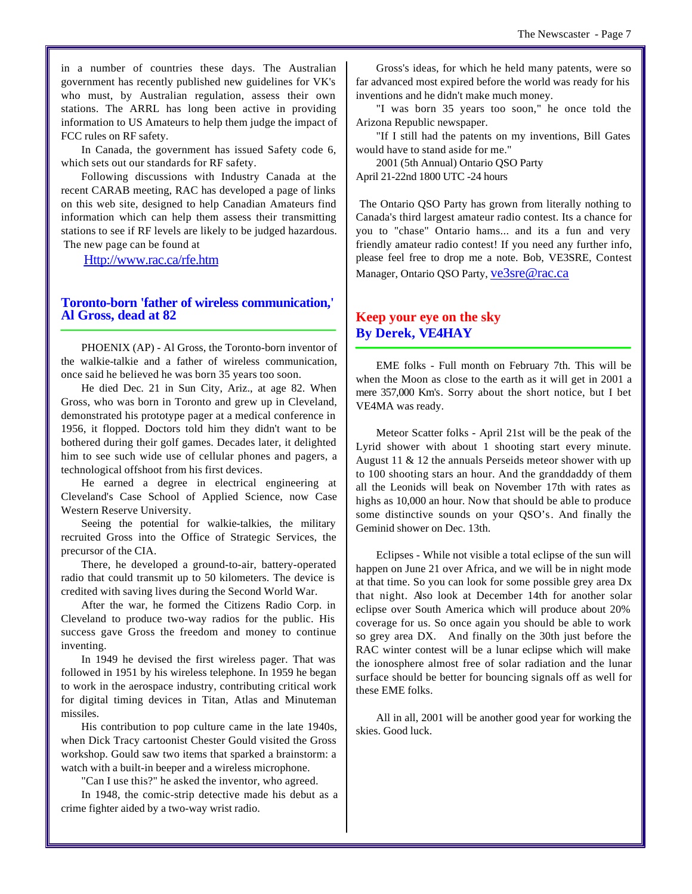in a number of countries these days. The Australian government has recently published new guidelines for VK's who must, by Australian regulation, assess their own stations. The ARRL has long been active in providing information to US Amateurs to help them judge the impact of FCC rules on RF safety.

In Canada, the government has issued Safety code 6, which sets out our standards for RF safety.

Following discussions with Industry Canada at the recent CARAB meeting, RAC has developed a page of links on this web site, designed to help Canadian Amateurs find information which can help them assess their transmitting stations to see if RF levels are likely to be judged hazardous. The new page can be found at

Http://www.rac.ca/rfe.htm

## **Toronto-born 'father of wireless communication,' Al Gross, dead at 82**

PHOENIX (AP) - Al Gross, the Toronto-born inventor of the walkie-talkie and a father of wireless communication, once said he believed he was born 35 years too soon.

He died Dec. 21 in Sun City, Ariz., at age 82. When Gross, who was born in Toronto and grew up in Cleveland, demonstrated his prototype pager at a medical conference in 1956, it flopped. Doctors told him they didn't want to be bothered during their golf games. Decades later, it delighted him to see such wide use of cellular phones and pagers, a technological offshoot from his first devices.

He earned a degree in electrical engineering at Cleveland's Case School of Applied Science, now Case Western Reserve University.

Seeing the potential for walkie-talkies, the military recruited Gross into the Office of Strategic Services, the precursor of the CIA.

There, he developed a ground-to-air, battery-operated radio that could transmit up to 50 kilometers. The device is credited with saving lives during the Second World War.

After the war, he formed the Citizens Radio Corp. in Cleveland to produce two-way radios for the public. His success gave Gross the freedom and money to continue inventing.

In 1949 he devised the first wireless pager. That was followed in 1951 by his wireless telephone. In 1959 he began to work in the aerospace industry, contributing critical work for digital timing devices in Titan, Atlas and Minuteman missiles.

His contribution to pop culture came in the late 1940s, when Dick Tracy cartoonist Chester Gould visited the Gross workshop. Gould saw two items that sparked a brainstorm: a watch with a built-in beeper and a wireless microphone.

"Can I use this?" he asked the inventor, who agreed.

In 1948, the comic-strip detective made his debut as a crime fighter aided by a two-way wrist radio.

Gross's ideas, for which he held many patents, were so far advanced most expired before the world was ready for his inventions and he didn't make much money.

"I was born 35 years too soon," he once told the Arizona Republic newspaper.

"If I still had the patents on my inventions, Bill Gates would have to stand aside for me."

2001 (5th Annual) Ontario QSO Party April 21-22nd 1800 UTC -24 hours

 The Ontario QSO Party has grown from literally nothing to Canada's third largest amateur radio contest. Its a chance for you to "chase" Ontario hams... and its a fun and very friendly amateur radio contest! If you need any further info, please feel free to drop me a note. Bob, VE3SRE, Contest Manager, Ontario QSO Party, ve3sre@rac.ca

# **Keep your eye on the sky By Derek, VE4HAY**

EME folks - Full month on February 7th. This will be when the Moon as close to the earth as it will get in 2001 a mere 357,000 Km's. Sorry about the short notice, but I bet VE4MA was ready.

Meteor Scatter folks - April 21st will be the peak of the Lyrid shower with about 1 shooting start every minute. August 11 & 12 the annuals Perseids meteor shower with up to 100 shooting stars an hour. And the granddaddy of them all the Leonids will beak on November 17th with rates as highs as 10,000 an hour. Now that should be able to produce some distinctive sounds on your QSO's. And finally the Geminid shower on Dec. 13th.

Eclipses - While not visible a total eclipse of the sun will happen on June 21 over Africa, and we will be in night mode at that time. So you can look for some possible grey area Dx that night. Also look at December 14th for another solar eclipse over South America which will produce about 20% coverage for us. So once again you should be able to work so grey area DX. And finally on the 30th just before the RAC winter contest will be a lunar eclipse which will make the ionosphere almost free of solar radiation and the lunar surface should be better for bouncing signals off as well for these EME folks.

All in all, 2001 will be another good year for working the skies. Good luck.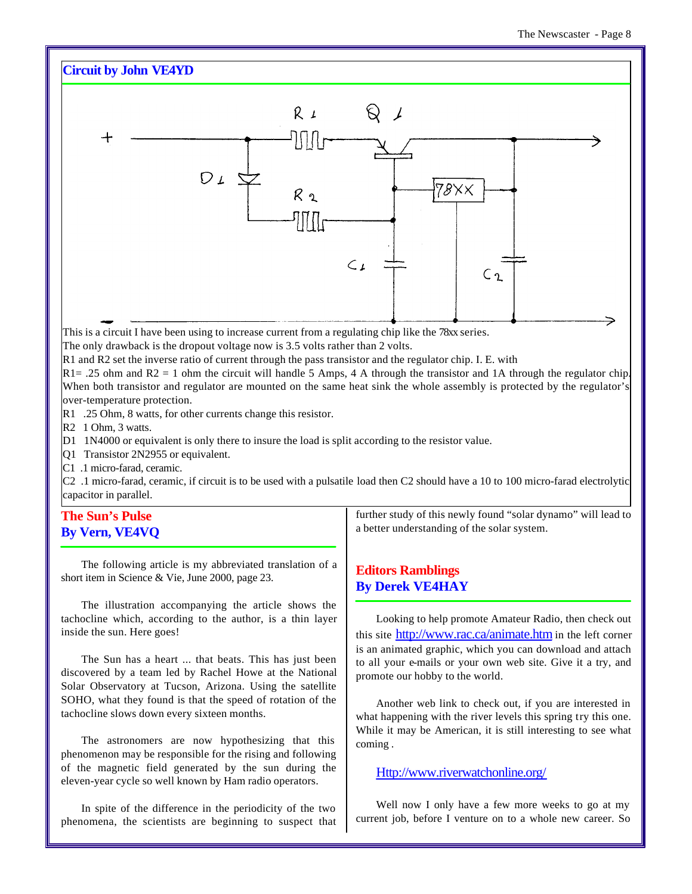# **Circuit by John VE4YD**



The only drawback is the dropout voltage now is 3.5 volts rather than 2 volts.

R1 and R2 set the inverse ratio of current through the pass transistor and the regulator chip. I. E. with

 $R1 = .25$  ohm and R2 = 1 ohm the circuit will handle 5 Amps, 4 A through the transistor and 1A through the regulator chip. When both transistor and regulator are mounted on the same heat sink the whole assembly is protected by the regulator's over-temperature protection.

- R1 .25 Ohm, 8 watts, for other currents change this resistor.
- R<sub>2</sub> 1 Ohm, 3 watts.
- D1 1N4000 or equivalent is only there to insure the load is split according to the resistor value.
- Q1 Transistor 2N2955 or equivalent.
- C1 .1 micro-farad, ceramic.

C2 .1 micro-farad, ceramic, if circuit is to be used with a pulsatile load then C2 should have a 10 to 100 micro-farad electrolytic capacitor in parallel.

# **The Sun's Pulse By Vern, VE4VQ**

The following article is my abbreviated translation of a short item in Science & Vie, June 2000, page 23.

The illustration accompanying the article shows the tachocline which, according to the author, is a thin layer inside the sun. Here goes!

The Sun has a heart ... that beats. This has just been discovered by a team led by Rachel Howe at the National Solar Observatory at Tucson, Arizona. Using the satellite SOHO, what they found is that the speed of rotation of the tachocline slows down every sixteen months.

The astronomers are now hypothesizing that this phenomenon may be responsible for the rising and following of the magnetic field generated by the sun during the eleven-year cycle so well known by Ham radio operators.

In spite of the difference in the periodicity of the two phenomena, the scientists are beginning to suspect that further study of this newly found "solar dynamo" will lead to a better understanding of the solar system.

# **Editors Ramblings By Derek VE4HAY**

Looking to help promote Amateur Radio, then check out this site http://www.rac.ca/animate.htm in the left corner is an animated graphic, which you can download and attach to all your e-mails or your own web site. Give it a try, and promote our hobby to the world.

Another web link to check out, if you are interested in what happening with the river levels this spring try this one. While it may be American, it is still interesting to see what coming .

Http://www.riverwatchonline.org/

Well now I only have a few more weeks to go at my current job, before I venture on to a whole new career. So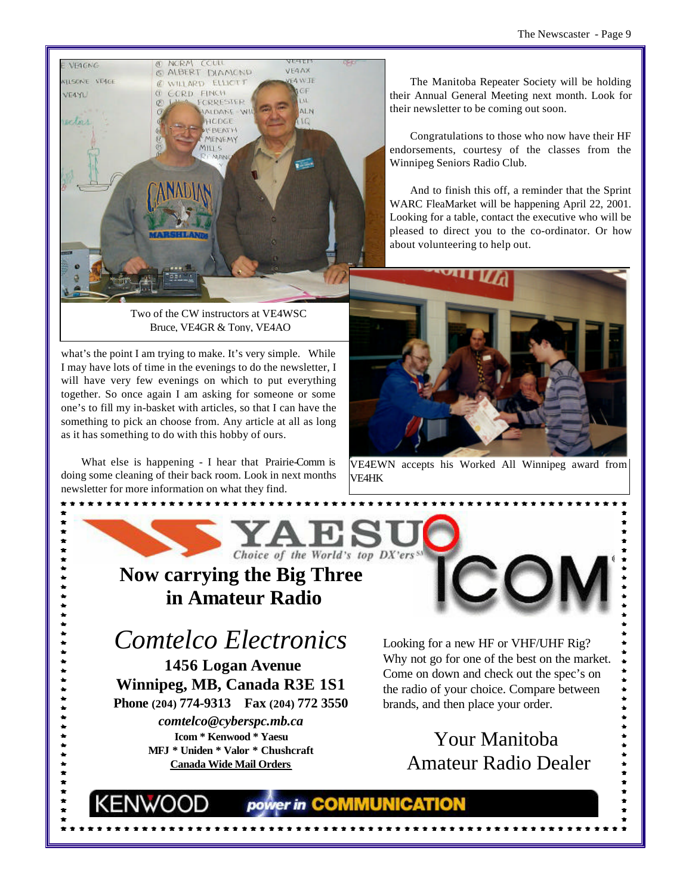

Two of the CW instructors at VE4WSC Bruce, VE4GR & Tony, VE4AO

what's the point I am trying to make. It's very simple. While I may have lots of time in the evenings to do the newsletter, I will have very few evenings on which to put everything together. So once again I am asking for someone or some one's to fill my in-basket with articles, so that I can have the something to pick an choose from. Any article at all as long as it has something to do with this hobby of ours.

What else is happening - I hear that Prairie-Comm is doing some cleaning of their back room. Look in next months newsletter for more information on what they find.

The Manitoba Repeater Society will be holding their Annual General Meeting next month. Look for their newsletter to be coming out soon.

Congratulations to those who now have their HF endorsements, courtesy of the classes from the Winnipeg Seniors Radio Club.

And to finish this off, a reminder that the Sprint WARC FleaMarket will be happening April 22, 2001. Looking for a table, contact the executive who will be pleased to direct you to the co-ordinator. Or how about volunteering to help out.



VE4EWN accepts his Worked All Winnipeg award from VE4HK



power in COMMUNICATION

# **Now carrying the Big Three in Amateur Radio**

# *Comtelco Electronics*

 **1456 Logan Avenue Winnipeg, MB, Canada R3E 1S1 Phone (204) 774-9313 Fax (204) 772 3550** *comtelco@cyberspc.mb.ca* **Icom \* Kenwood \* Yaesu MFJ \* Uniden \* Valor \* Chushcraft Canada Wide Mail Orders**

Looking for a new HF or VHF/UHF Rig? Why not go for one of the best on the market. Come on down and check out the spec's on the radio of your choice. Compare between brands, and then place your order.

> Your Manitoba Amateur Radio Dealer